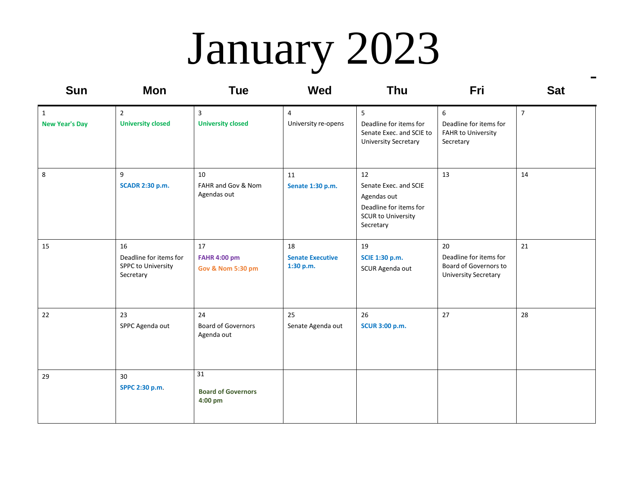# January 2023

| <b>Sun</b>                            | <b>Mon</b>                                                      | <b>Tue</b>                                                | <b>Wed</b>                                 | Thu                                                                                                            | Fri                                                                                  | <b>Sat</b>     |
|---------------------------------------|-----------------------------------------------------------------|-----------------------------------------------------------|--------------------------------------------|----------------------------------------------------------------------------------------------------------------|--------------------------------------------------------------------------------------|----------------|
| $\mathbf{1}$<br><b>New Year's Day</b> | $\overline{2}$<br><b>University closed</b>                      | 3<br><b>University closed</b>                             | 4<br>University re-opens                   | 5<br>Deadline for items for<br>Senate Exec. and SCIE to<br><b>University Secretary</b>                         | 6<br>Deadline for items for<br><b>FAHR to University</b><br>Secretary                | $\overline{7}$ |
| 8                                     | 9<br><b>SCADR 2:30 p.m.</b>                                     | 10<br>FAHR and Gov & Nom<br>Agendas out                   | 11<br>Senate 1:30 p.m.                     | 12<br>Senate Exec. and SCIE<br>Agendas out<br>Deadline for items for<br><b>SCUR to University</b><br>Secretary | 13                                                                                   | 14             |
| 15                                    | 16<br>Deadline for items for<br>SPPC to University<br>Secretary | 17<br><b>FAHR 4:00 pm</b><br><b>Gov &amp; Nom 5:30 pm</b> | 18<br><b>Senate Executive</b><br>1:30 p.m. | 19<br>SCIE 1:30 p.m.<br>SCUR Agenda out                                                                        | 20<br>Deadline for items for<br>Board of Governors to<br><b>University Secretary</b> | 21             |
| 22                                    | 23<br>SPPC Agenda out                                           | 24<br><b>Board of Governors</b><br>Agenda out             | 25<br>Senate Agenda out                    | 26<br><b>SCUR 3:00 p.m.</b>                                                                                    | 27                                                                                   | 28             |
| 29                                    | 30<br>SPPC 2:30 p.m.                                            | 31<br><b>Board of Governors</b><br>4:00 pm                |                                            |                                                                                                                |                                                                                      |                |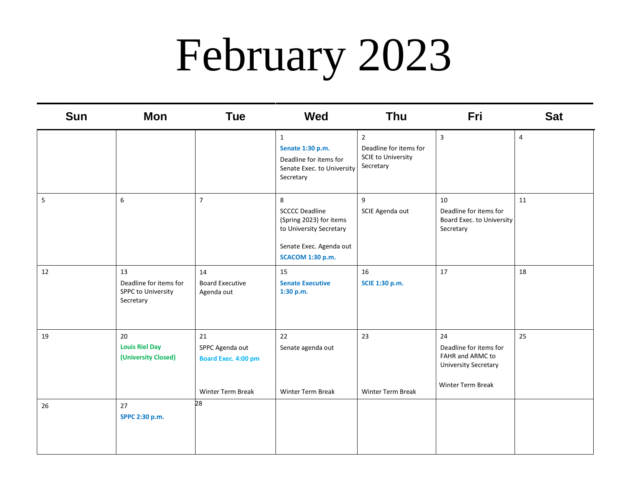## February 2023

| <b>Sun</b> | <b>Mon</b>                                                             | <b>Tue</b>                                                               | Wed                                                                                                                                    | <b>Thu</b>                                                                      | Fri                                                                                                  | <b>Sat</b>     |
|------------|------------------------------------------------------------------------|--------------------------------------------------------------------------|----------------------------------------------------------------------------------------------------------------------------------------|---------------------------------------------------------------------------------|------------------------------------------------------------------------------------------------------|----------------|
|            |                                                                        |                                                                          | $\mathbf 1$<br>Senate 1:30 p.m.<br>Deadline for items for<br>Senate Exec. to University<br>Secretary                                   | $2^{\circ}$<br>Deadline for items for<br><b>SCIE to University</b><br>Secretary | $\overline{\mathbf{3}}$                                                                              | $\overline{4}$ |
| 5          | 6                                                                      | $\overline{7}$                                                           | 8<br><b>SCCCC Deadline</b><br>(Spring 2023) for items<br>to University Secretary<br>Senate Exec. Agenda out<br><b>SCACOM 1:30 p.m.</b> | 9<br>SCIE Agenda out                                                            | 10<br>Deadline for items for<br>Board Exec. to University<br>Secretary                               | 11             |
| 12         | 13<br>Deadline for items for<br><b>SPPC to University</b><br>Secretary | 14<br><b>Board Executive</b><br>Agenda out                               | 15<br><b>Senate Executive</b><br>1:30 p.m.                                                                                             | 16<br>SCIE 1:30 p.m.                                                            | 17                                                                                                   | 18             |
| 19         | 20<br><b>Louis Riel Day</b><br>(University Closed)                     | 21<br>SPPC Agenda out<br><b>Board Exec. 4:00 pm</b><br>Winter Term Break | 22<br>Senate agenda out<br>Winter Term Break                                                                                           | 23<br>Winter Term Break                                                         | 24<br>Deadline for items for<br>FAHR and ARMC to<br><b>University Secretary</b><br>Winter Term Break | 25             |
| 26         | 27<br>SPPC 2:30 p.m.                                                   | 28                                                                       |                                                                                                                                        |                                                                                 |                                                                                                      |                |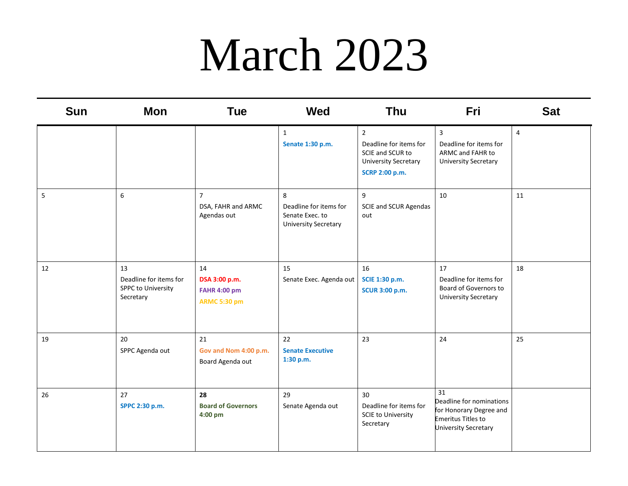#### March 2023

| <b>Sun</b> | <b>Mon</b>                                                      | <b>Tue</b>                                                        | <b>Wed</b>                                                                    | <b>Thu</b>                                                                                                    | Fri                                                                                                            | <b>Sat</b>     |
|------------|-----------------------------------------------------------------|-------------------------------------------------------------------|-------------------------------------------------------------------------------|---------------------------------------------------------------------------------------------------------------|----------------------------------------------------------------------------------------------------------------|----------------|
|            |                                                                 |                                                                   | $\mathbf{1}$<br>Senate 1:30 p.m.                                              | $\overline{2}$<br>Deadline for items for<br>SCIE and SCUR to<br><b>University Secretary</b><br>SCRP 2:00 p.m. | 3<br>Deadline for items for<br>ARMC and FAHR to<br><b>University Secretary</b>                                 | $\overline{4}$ |
| 5          | 6                                                               | $\overline{7}$<br>DSA, FAHR and ARMC<br>Agendas out               | 8<br>Deadline for items for<br>Senate Exec. to<br><b>University Secretary</b> | 9<br><b>SCIE and SCUR Agendas</b><br>out                                                                      | 10                                                                                                             | 11             |
| 12         | 13<br>Deadline for items for<br>SPPC to University<br>Secretary | 14<br>DSA 3:00 p.m.<br><b>FAHR 4:00 pm</b><br><b>ARMC 5:30 pm</b> | 15<br>Senate Exec. Agenda out                                                 | 16<br>SCIE 1:30 p.m.<br><b>SCUR 3:00 p.m.</b>                                                                 | 17<br>Deadline for items for<br>Board of Governors to<br><b>University Secretary</b>                           | 18             |
| 19         | 20<br>SPPC Agenda out                                           | 21<br>Gov and Nom 4:00 p.m.<br>Board Agenda out                   | 22<br><b>Senate Executive</b><br>1:30 p.m.                                    | 23                                                                                                            | 24                                                                                                             | 25             |
| 26         | 27<br>SPPC 2:30 p.m.                                            | 28<br><b>Board of Governors</b><br>4:00 pm                        | 29<br>Senate Agenda out                                                       | 30<br>Deadline for items for<br><b>SCIE to University</b><br>Secretary                                        | 31<br>Deadline for nominations<br>for Honorary Degree and<br><b>Emeritus Titles to</b><br>University Secretary |                |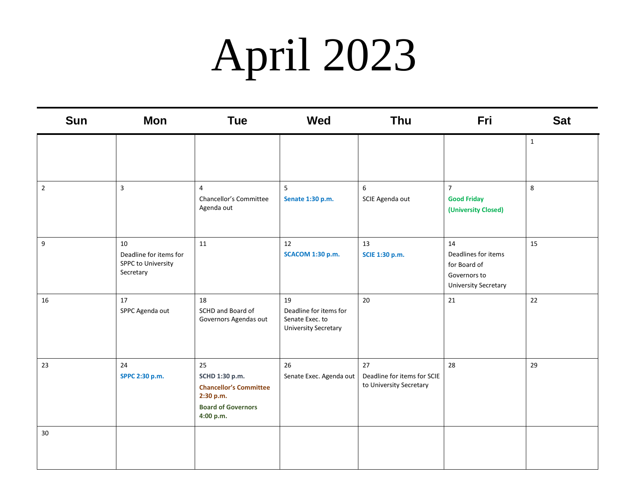## April 2023

| <b>Sun</b>       | <b>Mon</b>                                                      | <b>Tue</b>                                                                                                   | <b>Wed</b>                                                                     | Thu                                                          | Fri                                                                                      | <b>Sat</b>   |
|------------------|-----------------------------------------------------------------|--------------------------------------------------------------------------------------------------------------|--------------------------------------------------------------------------------|--------------------------------------------------------------|------------------------------------------------------------------------------------------|--------------|
|                  |                                                                 |                                                                                                              |                                                                                |                                                              |                                                                                          | $\mathbf{1}$ |
| $\overline{2}$   | $\mathbf{3}$                                                    | $\overline{4}$<br>Chancellor's Committee<br>Agenda out                                                       | 5<br>Senate 1:30 p.m.                                                          | 6<br>SCIE Agenda out                                         | $\overline{7}$<br><b>Good Friday</b><br>(University Closed)                              | 8            |
| $\boldsymbol{9}$ | 10<br>Deadline for items for<br>SPPC to University<br>Secretary | 11                                                                                                           | 12<br><b>SCACOM 1:30 p.m.</b>                                                  | 13<br>SCIE 1:30 p.m.                                         | 14<br>Deadlines for items<br>for Board of<br>Governors to<br><b>University Secretary</b> | 15           |
| 16               | 17<br>SPPC Agenda out                                           | 18<br>SCHD and Board of<br>Governors Agendas out                                                             | 19<br>Deadline for items for<br>Senate Exec. to<br><b>University Secretary</b> | 20                                                           | 21                                                                                       | 22           |
| 23               | 24<br>SPPC 2:30 p.m.                                            | 25<br>SCHD 1:30 p.m.<br><b>Chancellor's Committee</b><br>2:30 p.m.<br><b>Board of Governors</b><br>4:00 p.m. | 26<br>Senate Exec. Agenda out                                                  | 27<br>Deadline for items for SCIE<br>to University Secretary | 28                                                                                       | 29           |
| 30               |                                                                 |                                                                                                              |                                                                                |                                                              |                                                                                          |              |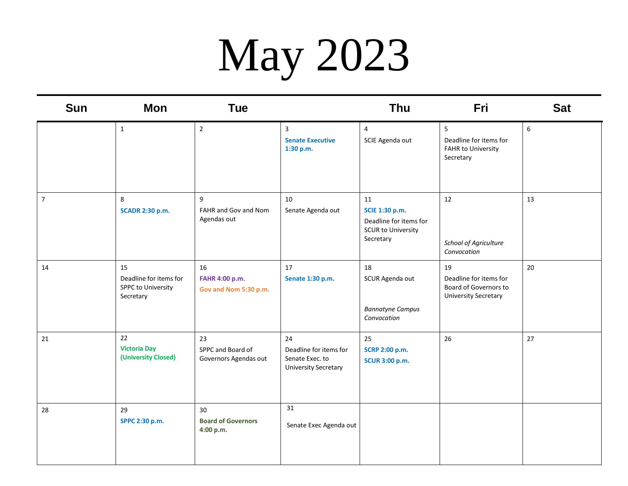# May 2023

| <b>Sun</b>     | <b>Mon</b>                                                      | <b>Tue</b>                                       |                                                                                | Thu                                                                                      | Fri                                                                                  | <b>Sat</b> |
|----------------|-----------------------------------------------------------------|--------------------------------------------------|--------------------------------------------------------------------------------|------------------------------------------------------------------------------------------|--------------------------------------------------------------------------------------|------------|
|                | $\mathbf{1}$                                                    | $\overline{2}$                                   | $\mathbf{3}$<br><b>Senate Executive</b><br>1:30 p.m.                           | $\overline{4}$<br>SCIE Agenda out                                                        | 5<br>Deadline for items for<br>FAHR to University<br>Secretary                       | 6          |
| $\overline{7}$ | 8<br><b>SCADR 2:30 p.m.</b>                                     | 9<br>FAHR and Gov and Nom<br>Agendas out         | 10<br>Senate Agenda out                                                        | 11<br>SCIE 1:30 p.m.<br>Deadline for items for<br><b>SCUR to University</b><br>Secretary | 12<br>School of Agriculture<br>Convocation                                           | 13         |
| 14             | 15<br>Deadline for items for<br>SPPC to University<br>Secretary | 16<br>FAHR 4:00 p.m.<br>Gov and Nom 5:30 p.m.    | 17<br>Senate 1:30 p.m.                                                         | 18<br>SCUR Agenda out<br><b>Bannatyne Campus</b><br>Convocation                          | 19<br>Deadline for items for<br>Board of Governors to<br><b>University Secretary</b> | 20         |
| 21             | 22<br><b>Victoria Day</b><br>(University Closed)                | 23<br>SPPC and Board of<br>Governors Agendas out | 24<br>Deadline for items for<br>Senate Exec. to<br><b>University Secretary</b> | 25<br>SCRP 2:00 p.m.<br><b>SCUR 3:00 p.m.</b>                                            | 26                                                                                   | 27         |
| 28             | 29<br>SPPC 2:30 p.m.                                            | 30<br><b>Board of Governors</b><br>4:00 p.m.     | 31<br>Senate Exec Agenda out                                                   |                                                                                          |                                                                                      |            |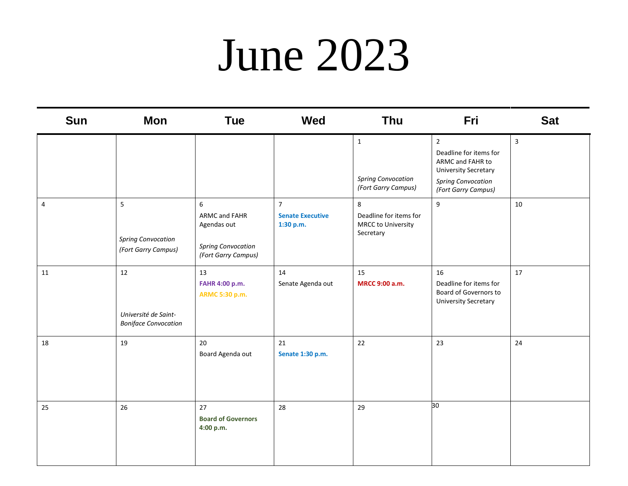#### June 2023

| Sun | <b>Mon</b>                                                | <b>Tue</b>                                                                            | <b>Wed</b>                                             | <b>Thu</b>                                                       | Fri                                                                                                                                             | <b>Sat</b>   |
|-----|-----------------------------------------------------------|---------------------------------------------------------------------------------------|--------------------------------------------------------|------------------------------------------------------------------|-------------------------------------------------------------------------------------------------------------------------------------------------|--------------|
|     |                                                           |                                                                                       |                                                        | $\mathbf{1}$<br><b>Spring Convocation</b><br>(Fort Garry Campus) | $\overline{2}$<br>Deadline for items for<br>ARMC and FAHR to<br><b>University Secretary</b><br><b>Spring Convocation</b><br>(Fort Garry Campus) | $\mathbf{3}$ |
| 4   | 5<br><b>Spring Convocation</b><br>(Fort Garry Campus)     | 6<br>ARMC and FAHR<br>Agendas out<br><b>Spring Convocation</b><br>(Fort Garry Campus) | $\overline{7}$<br><b>Senate Executive</b><br>1:30 p.m. | 8<br>Deadline for items for<br>MRCC to University<br>Secretary   | $\boldsymbol{9}$                                                                                                                                | 10           |
| 11  | 12<br>Université de Saint-<br><b>Boniface Convocation</b> | 13<br>FAHR 4:00 p.m.<br>ARMC 5:30 p.m.                                                | 14<br>Senate Agenda out                                | 15<br>MRCC 9:00 a.m.                                             | 16<br>Deadline for items for<br>Board of Governors to<br><b>University Secretary</b>                                                            | 17           |
| 18  | 19                                                        | 20<br>Board Agenda out                                                                | 21<br>Senate 1:30 p.m.                                 | 22                                                               | 23                                                                                                                                              | 24           |
| 25  | 26                                                        | 27<br><b>Board of Governors</b><br>4:00 p.m.                                          | 28                                                     | 29                                                               | 30                                                                                                                                              |              |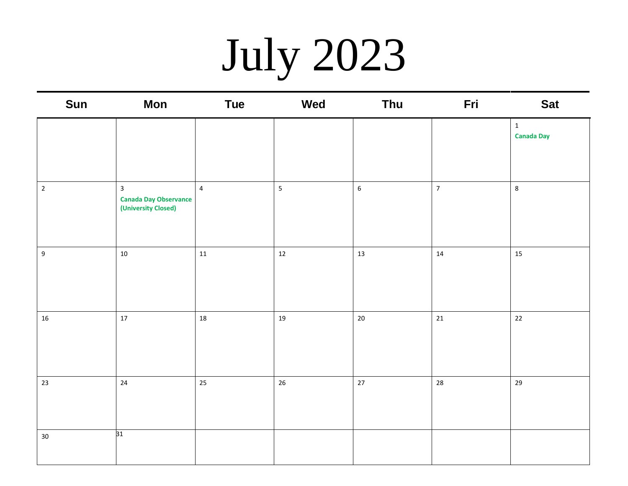# July 2023

| Sun              | <b>Mon</b>                                                            | <b>Tue</b>     | Wed                     | Thu     | Fri            | <b>Sat</b>                        |
|------------------|-----------------------------------------------------------------------|----------------|-------------------------|---------|----------------|-----------------------------------|
|                  |                                                                       |                |                         |         |                | $\mathbf{1}$<br><b>Canada Day</b> |
|                  |                                                                       |                |                         |         |                |                                   |
| $\mathbf 2$      | $\overline{3}$<br><b>Canada Day Observance</b><br>(University Closed) | $\overline{4}$ | $\overline{\mathbf{5}}$ | $\sf 6$ | $\overline{7}$ | $\bf 8$                           |
| $\boldsymbol{9}$ | $10\,$                                                                | $11\,$         | $12$                    | $13\,$  | $14\,$         | 15                                |
| 16               | $17\,$                                                                | 18             | 19                      | $20\,$  | 21             | 22                                |
| 23               | $24$                                                                  | 25             | 26                      | $27\,$  | 28             | 29                                |
| 30               | 31                                                                    |                |                         |         |                |                                   |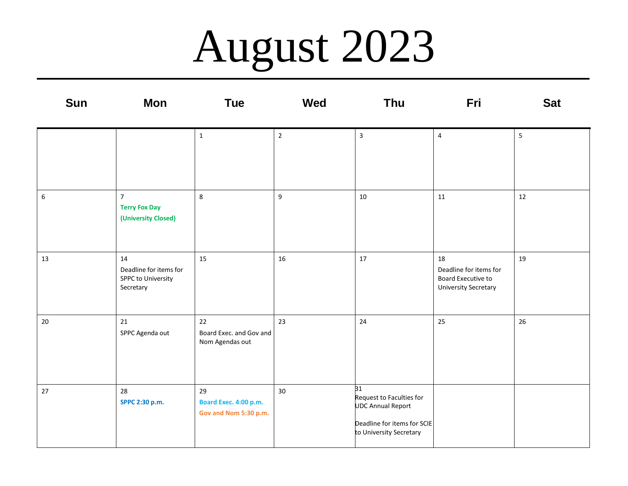### August 2023

| <b>Sun</b>       | Mon                                                             | <b>Tue</b>                                           | <b>Wed</b>     | <b>Thu</b>                                                                                                           | Fri                                                                               | <b>Sat</b>              |
|------------------|-----------------------------------------------------------------|------------------------------------------------------|----------------|----------------------------------------------------------------------------------------------------------------------|-----------------------------------------------------------------------------------|-------------------------|
|                  |                                                                 | $\mathbf 1$                                          | $\overline{2}$ | $\mathsf{3}$                                                                                                         | $\overline{4}$                                                                    | $\overline{\mathbf{5}}$ |
| $\boldsymbol{6}$ | $\overline{7}$<br><b>Terry Fox Day</b><br>(University Closed)   | 8                                                    | 9              | $10\,$                                                                                                               | 11                                                                                | 12                      |
| 13               | 14<br>Deadline for items for<br>SPPC to University<br>Secretary | 15                                                   | 16             | $17\,$                                                                                                               | 18<br>Deadline for items for<br>Board Executive to<br><b>University Secretary</b> | 19                      |
| $20\,$           | 21<br>SPPC Agenda out                                           | 22<br>Board Exec. and Gov and<br>Nom Agendas out     | 23             | 24                                                                                                                   | 25                                                                                | 26                      |
| 27               | 28<br>SPPC 2:30 p.m.                                            | 29<br>Board Exec. 4:00 p.m.<br>Gov and Nom 5:30 p.m. | 30             | 31<br>Request to Faculties for<br><b>UDC Annual Report</b><br>Deadline for items for SCIE<br>to University Secretary |                                                                                   |                         |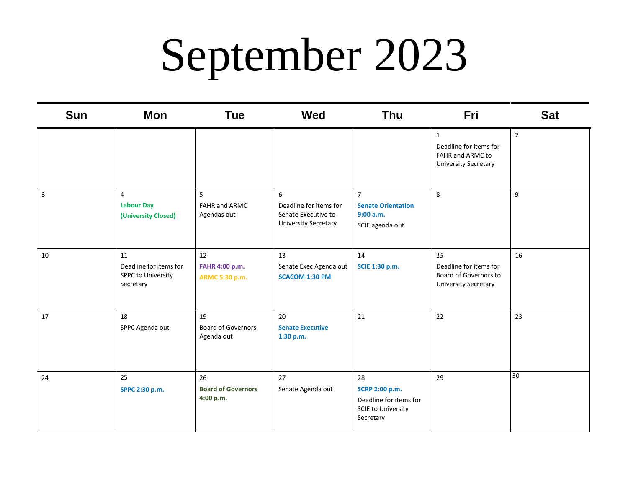## September 2023

| <b>Sun</b>              | <b>Mon</b>                                                             | <b>Tue</b>                                    | <b>Wed</b>                                                                        | <b>Thu</b>                                                                               | Fri                                                                                       | <b>Sat</b>     |
|-------------------------|------------------------------------------------------------------------|-----------------------------------------------|-----------------------------------------------------------------------------------|------------------------------------------------------------------------------------------|-------------------------------------------------------------------------------------------|----------------|
|                         |                                                                        |                                               |                                                                                   |                                                                                          | $\mathbf{1}$<br>Deadline for items for<br>FAHR and ARMC to<br><b>University Secretary</b> | $\overline{2}$ |
| $\overline{\mathbf{3}}$ | $\overline{4}$<br><b>Labour Day</b><br>(University Closed)             | 5<br><b>FAHR and ARMC</b><br>Agendas out      | 6<br>Deadline for items for<br>Senate Executive to<br><b>University Secretary</b> | $\overline{7}$<br><b>Senate Orientation</b><br>9:00 a.m.<br>SCIE agenda out              | $\bf 8$                                                                                   | 9              |
| 10                      | 11<br>Deadline for items for<br><b>SPPC to University</b><br>Secretary | 12<br>FAHR 4:00 p.m.<br>ARMC 5:30 p.m.        | 13<br>Senate Exec Agenda out<br><b>SCACOM 1:30 PM</b>                             | 14<br>SCIE 1:30 p.m.                                                                     | 15<br>Deadline for items for<br>Board of Governors to<br><b>University Secretary</b>      | 16             |
| 17                      | 18<br>SPPC Agenda out                                                  | 19<br><b>Board of Governors</b><br>Agenda out | 20<br><b>Senate Executive</b><br>1:30 p.m.                                        | 21                                                                                       | 22                                                                                        | 23             |
| 24                      | 25<br>SPPC 2:30 p.m.                                                   | 26<br><b>Board of Governors</b><br>4:00 p.m.  | 27<br>Senate Agenda out                                                           | 28<br>SCRP 2:00 p.m.<br>Deadline for items for<br><b>SCIE to University</b><br>Secretary | 29                                                                                        | 30             |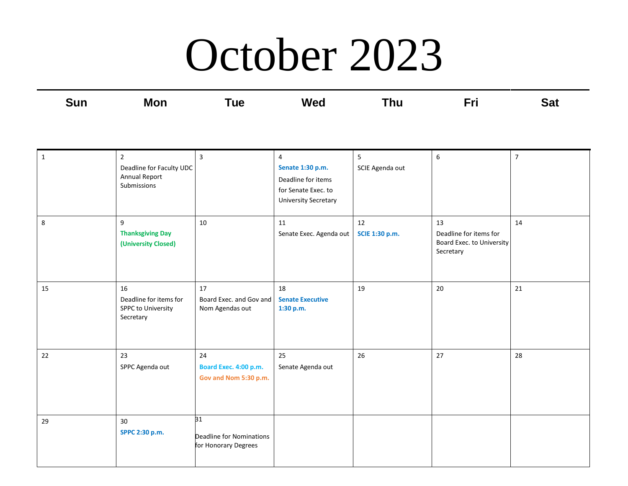#### October 2023

| <b>Sun</b> | <b>Mon</b> | īue | <b>Wed</b> | Thu | Eri | Sat |
|------------|------------|-----|------------|-----|-----|-----|
| ___        |            | ___ | ____       |     |     | ___ |
|            |            |     |            |     |     |     |

| $\mathbf 1$ | $\overline{2}$<br>Deadline for Faculty UDC<br>Annual Report<br>Submissions | $\overline{3}$                                         | 4<br>Senate 1:30 p.m.<br>Deadline for items<br>for Senate Exec. to<br><b>University Secretary</b> | 5<br>SCIE Agenda out | 6                                                                      | $\overline{7}$ |
|-------------|----------------------------------------------------------------------------|--------------------------------------------------------|---------------------------------------------------------------------------------------------------|----------------------|------------------------------------------------------------------------|----------------|
| 8           | 9<br><b>Thanksgiving Day</b><br>(University Closed)                        | 10                                                     | 11<br>Senate Exec. Agenda out                                                                     | 12<br>SCIE 1:30 p.m. | 13<br>Deadline for items for<br>Board Exec. to University<br>Secretary | 14             |
| 15          | 16<br>Deadline for items for<br><b>SPPC to University</b><br>Secretary     | 17<br>Board Exec. and Gov and<br>Nom Agendas out       | 18<br><b>Senate Executive</b><br>1:30 p.m.                                                        | 19                   | 20                                                                     | 21             |
| 22          | 23<br>SPPC Agenda out                                                      | 24<br>Board Exec. 4:00 p.m.<br>Gov and Nom 5:30 p.m.   | 25<br>Senate Agenda out                                                                           | 26                   | 27                                                                     | 28             |
| 29          | 30<br>SPPC 2:30 p.m.                                                       | 31<br>Deadline for Nominations<br>for Honorary Degrees |                                                                                                   |                      |                                                                        |                |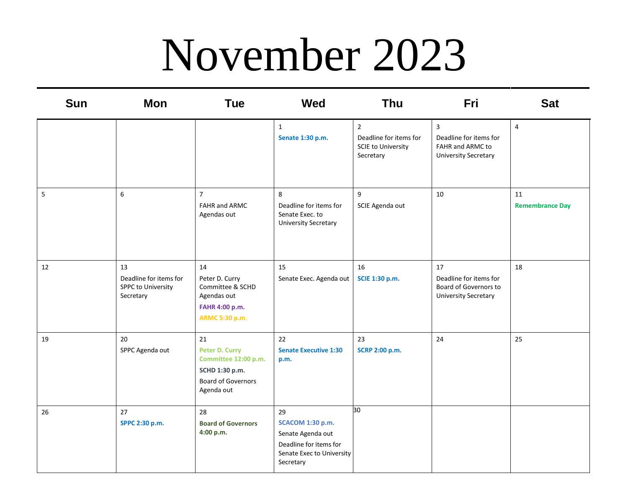### November 2023

| <b>Sun</b> | Mon                                                                    | <b>Tue</b>                                                                                                | <b>Wed</b>                                                                                                             | <b>Thu</b>                                                                         | Fri                                                                                  | <b>Sat</b>                   |
|------------|------------------------------------------------------------------------|-----------------------------------------------------------------------------------------------------------|------------------------------------------------------------------------------------------------------------------------|------------------------------------------------------------------------------------|--------------------------------------------------------------------------------------|------------------------------|
|            |                                                                        |                                                                                                           | $\mathbf{1}$<br>Senate 1:30 p.m.                                                                                       | $\overline{2}$<br>Deadline for items for<br><b>SCIE to University</b><br>Secretary | 3<br>Deadline for items for<br>FAHR and ARMC to<br><b>University Secretary</b>       | $\overline{4}$               |
| 5          | 6                                                                      | $\overline{7}$<br>FAHR and ARMC<br>Agendas out                                                            | 8<br>Deadline for items for<br>Senate Exec. to<br><b>University Secretary</b>                                          | 9<br>SCIE Agenda out                                                               | 10                                                                                   | 11<br><b>Remembrance Day</b> |
| 12         | 13<br>Deadline for items for<br><b>SPPC to University</b><br>Secretary | 14<br>Peter D. Curry<br>Committee & SCHD<br>Agendas out<br>FAHR 4:00 p.m.<br>ARMC 5:30 p.m.               | 15<br>Senate Exec. Agenda out                                                                                          | 16<br>SCIE 1:30 p.m.                                                               | 17<br>Deadline for items for<br>Board of Governors to<br><b>University Secretary</b> | 18                           |
| 19         | 20<br>SPPC Agenda out                                                  | 21<br>Peter D. Curry<br>Committee 12:00 p.m.<br>SCHD 1:30 p.m.<br><b>Board of Governors</b><br>Agenda out | 22<br><b>Senate Executive 1:30</b><br>p.m.                                                                             | 23<br>SCRP 2:00 p.m.                                                               | 24                                                                                   | 25                           |
| 26         | 27<br>SPPC 2:30 p.m.                                                   | 28<br><b>Board of Governors</b><br>4:00 p.m.                                                              | 29<br><b>SCACOM 1:30 p.m.</b><br>Senate Agenda out<br>Deadline for items for<br>Senate Exec to University<br>Secretary | 30                                                                                 |                                                                                      |                              |